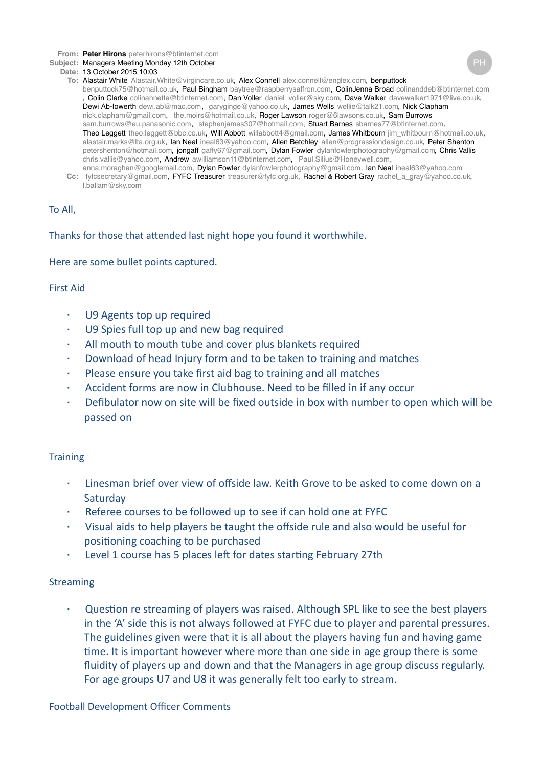**From: Peter [Hirons](mailto:Hironspeterhirons@btinternet.com)** [peterhirons@btinternet.com](mailto:Hironspeterhirons@btinternet.com)

- **Subject:** Managers Meeting Monday 12th October
- **Date:** 13 October 2015 10:03
	- **To:** Alastair [White](mailto:WhiteAlastair.White@virgincare.co.uk) [Alastair.White@virgincare.co.uk,](mailto:WhiteAlastair.White@virgincare.co.uk) Alex [Connell](mailto:Connellalex.connell@englex.com) [alex.connell@englex.com,](mailto:Connellalex.connell@englex.com) [benputtock](mailto:benputtockbenputtock75@hotmail.co.uk) [benputtock75@hotmail.co.uk,](mailto:benputtockbenputtock75@hotmail.co.uk) Paul [Bingham](mailto:Binghambaytree@raspberrysaffron.com) [baytree@raspberrysaffron.com](mailto:Binghambaytree@raspberrysaffron.com), ColinJenna [Broad](mailto:Broadcolinanddeb@btinternet.com) [colinanddeb@btinternet.com](mailto:Broadcolinanddeb@btinternet.com) , Colin [Clarke](mailto:Clarkecolinannette@btinternet.com) [colinannette@btinternet.com](mailto:Clarkecolinannette@btinternet.com), Dan [Voller](mailto:Vollerdaniel_voller@sky.com) [daniel\\_voller@sky.com,](mailto:Vollerdaniel_voller@sky.com) Dave [Walker](mailto:Walkerdavewalker1971@live.co.uk) [davewalker1971@live.co.uk,](mailto:Walkerdavewalker1971@live.co.uk) Dewi [Ab-Iowerth](mailto:Ab-Iowerthdewi.ab@mac.com) [dewi.ab@mac.com](mailto:Ab-Iowerthdewi.ab@mac.com), [garyginge@yahoo.co.uk,](mailto:garyginge@yahoo.co.uk) James [Wells](mailto:Wellswellie@talk21.com) [wellie@talk21.com,](mailto:Wellswellie@talk21.com) Nick [Clapham](mailto:Claphamnick.clapham@gmail.com) [nick.clapham@gmail.com,](mailto:Claphamnick.clapham@gmail.com) [the.moirs@hotmail.co.uk](mailto:the.moirs@hotmail.co.uk), Roger [Lawson](mailto:Lawsonroger@6lawsons.co.uk) [roger@6lawsons.co.uk,](mailto:Lawsonroger@6lawsons.co.uk) Sam [Burrows](mailto:Burrowssam.burrows@eu.panasonic.com) [sam.burrows@eu.panasonic.com](mailto:Burrowssam.burrows@eu.panasonic.com), [stephenjames307@hotmail.com,](mailto:stephenjames307@hotmail.com) Stuart [Barnes](mailto:Barnessbarnes77@btinternet.com) [sbarnes77@btinternet.com](mailto:Barnessbarnes77@btinternet.com), Theo [Leggett](mailto:Leggetttheo.leggett@bbc.co.uk) [theo.leggett@bbc.co.uk](mailto:Leggetttheo.leggett@bbc.co.uk), Will [Abbott](mailto:Abbottwillabbott4@gmail.com) [willabbott4@gmail.com](mailto:Abbottwillabbott4@gmail.com), James [Whitbourn](mailto:Whitbournjim_whitbourn@hotmail.co.uk) [jim\\_whitbourn@hotmail.co.uk,](mailto:Whitbournjim_whitbourn@hotmail.co.uk) [alastair.marks@lta.org.uk](mailto:alastair.marks@lta.org.uk), Ian [Neal](mailto:Nealineal63@yahoo.com) [ineal63@yahoo.com,](mailto:Nealineal63@yahoo.com) Allen [Betchley](mailto:Betchleyallen@progressiondesign.co.uk) [allen@progressiondesign.co.uk](mailto:Betchleyallen@progressiondesign.co.uk), Peter [Shenton](mailto:Shentonpetershenton@hotmail.com) [petershenton@hotmail.com,](mailto:Shentonpetershenton@hotmail.com) [jongaff](mailto:jongaffgaffy67@gmail.com) [gaffy67@gmail.com,](mailto:jongaffgaffy67@gmail.com) Dylan [Fowler](mailto:Fowlerdylanfowlerphotography@gmail.com) [dylanfowlerphotography@gmail.com,](mailto:Fowlerdylanfowlerphotography@gmail.com) Chris [Vallis](mailto:Vallischris.vallis@yahoo.com) [chris.vallis@yahoo.com,](mailto:Vallischris.vallis@yahoo.com) [Andrew](mailto:Andrewawilliamson11@btinternet.com) [awilliamson11@btinternet.com](mailto:Andrewawilliamson11@btinternet.com), [Paul.Silius@Honeywell.com](mailto:Paul.Silius@Honeywell.com), [anna.moraghan@googlemail.com,](mailto:anna.moraghan@googlemail.com) Dylan [Fowler](mailto:Fowlerdylanfowlerphotography@gmail.com) [dylanfowlerphotography@gmail.com](mailto:Fowlerdylanfowlerphotography@gmail.com), Ian [Neal](mailto:Nealineal63@yahoo.com) [ineal63@yahoo.com](mailto:Nealineal63@yahoo.com)
	- **Cc:** [fyfcsecretary@gmail.com,](mailto:fyfcsecretary@gmail.com) FYFC [Treasurer](mailto:Treasurertreasurer@fyfc.org.uk) [treasurer@fyfc.org.uk,](mailto:Treasurertreasurer@fyfc.org.uk) Rachel & Robert [Gray](mailto:Grayrachel_a_gray@yahoo.co.uk) [rachel\\_a\\_gray@yahoo.co.uk](mailto:Grayrachel_a_gray@yahoo.co.uk), [l.ballam@sky.com](mailto:l.ballam@sky.com)

## To All,

Thanks for those that attended last night hope you found it worthwhile.

Here are some bullet points captured.

### First Aid

- U9 Agents top up required
- U9 Spies full top up and new bag required
- $\cdot$  All mouth to mouth tube and cover plus blankets required
- Download of head Injury form and to be taken to training and matches
- Please ensure you take first aid bag to training and all matches
- Accident forms are now in Clubhouse. Need to be filled in if any occur
- Defibulator now on site will be fixed outside in box with number to open which will be passed on

## **Training**

- $\cdot$  Linesman brief over view of offside law. Keith Grove to be asked to come down on a **Saturday**
- Referee courses to be followed up to see if can hold one at FYFC
- Visual aids to help players be taught the offside rule and also would be useful for positioning coaching to be purchased
- Level 1 course has 5 places left for dates starting February 27th

## Streaming

 $\cdot$  Question re streaming of players was raised. Although SPL like to see the best players in the 'A' side this is not always followed at FYFC due to player and parental pressures. The guidelines given were that it is all about the players having fun and having game time. It is important however where more than one side in age group there is some fluidity of players up and down and that the Managers in age group discuss regularly. For age groups U7 and U8 it was generally felt too early to stream.

## Football Development Officer Comments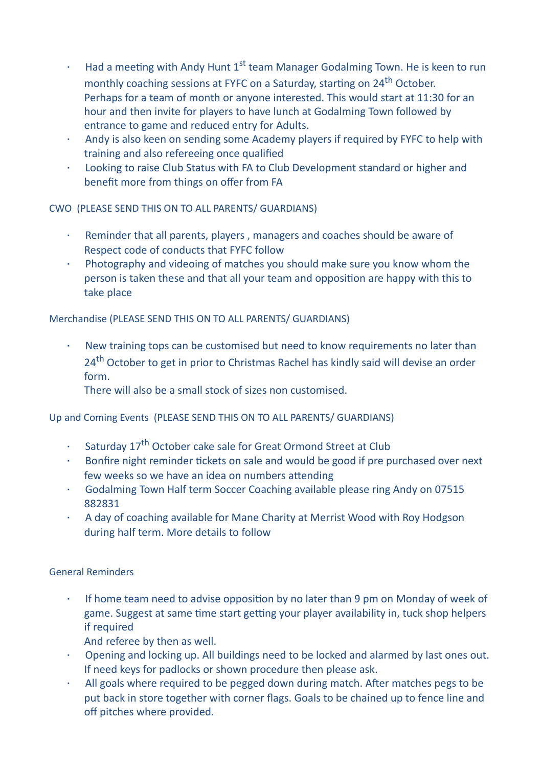- · Had a meeting with Andy Hunt  $1^{st}$  team Manager Godalming Town. He is keen to run monthly coaching sessions at FYFC on a Saturday, starting on 24<sup>th</sup> October. Perhaps for a team of month or anyone interested. This would start at 11:30 for an hour and then invite for players to have lunch at Godalming Town followed by entrance to game and reduced entry for Adults.
- $\cdot$  Andy is also keen on sending some Academy players if required by FYFC to help with training and also refereeing once qualified
- · Looking to raise Club Status with FA to Club Development standard or higher and benefit more from things on offer from FA

CWO (PLEASE SEND THIS ON TO ALL PARENTS/ GUARDIANS)

- Reminder that all parents, players, managers and coaches should be aware of Respect code of conducts that FYFC follow
- $\cdot$  Photography and videoing of matches you should make sure you know whom the person is taken these and that all your team and opposition are happy with this to take place

Merchandise (PLEASE SEND THIS ON TO ALL PARENTS/ GUARDIANS)

New training tops can be customised but need to know requirements no later than 24<sup>th</sup> October to get in prior to Christmas Rachel has kindly said will devise an order form.

There will also be a small stock of sizes non customised.

Up and Coming Events (PLEASE SEND THIS ON TO ALL PARENTS/ GUARDIANS)

- · Saturday 17<sup>th</sup> October cake sale for Great Ormond Street at Club
- Bonfire night reminder tickets on sale and would be good if pre purchased over next few weeks so we have an idea on numbers attending
- Godalming Town Half term Soccer Coaching available please ring Andy on 07515 882831
- · A day of coaching available for Mane Charity at Merrist Wood with Roy Hodgson during half term. More details to follow

General Reminders

- $\cdot$  If home team need to advise opposition by no later than 9 pm on Monday of week of game. Suggest at same time start getting your player availability in, tuck shop helpers if required
	- And referee by then as well.
- · Opening and locking up. All buildings need to be locked and alarmed by last ones out. If need keys for padlocks or shown procedure then please ask.
- · All goals where required to be pegged down during match. After matches pegs to be put back in store together with corner flags. Goals to be chained up to fence line and off pitches where provided.